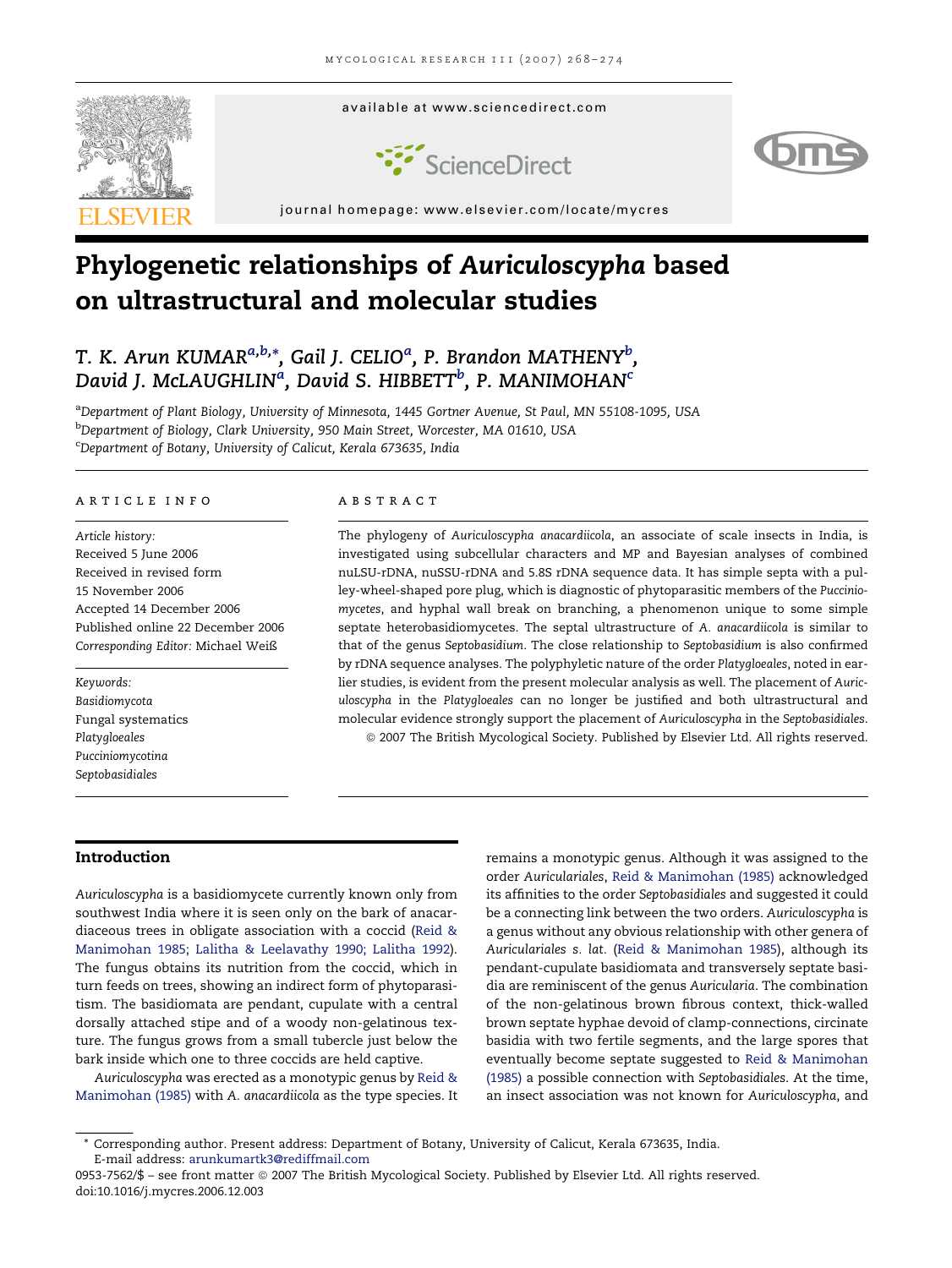

# Phylogenetic relationships of Auriculoscypha based on ultrastructural and molecular studies

# T. K. Arun KUMAR $^{a,b,\ast},$  Gail J. CELIO $^a$ , P. Brandon MATHENY $^b$ , David J. McLAUGHLIN<sup>a</sup>, David S. HIBBETT<sup>b</sup>, P. MANIMOHAN<sup>c</sup>

a Department of Plant Biology, University of Minnesota, 1445 Gortner Avenue, St Paul, MN 55108-1095, USA <sup>b</sup>Department of Biology, Clark University, 950 Main Street, Worcester, MA 01610, USA c Department of Botany, University of Calicut, Kerala 673635, India

#### a r t i c l e i n f o

Article history: Received 5 June 2006 Received in revised form 15 November 2006 Accepted 14 December 2006 Published online 22 December 2006 Corresponding Editor: Michael Weiß

Keywords: Basidiomycota Fungal systematics Platygloeales Pucciniomycotina Septobasidiales

#### a b s t r a c t

The phylogeny of Auriculoscypha anacardiicola, an associate of scale insects in India, is investigated using subcellular characters and MP and Bayesian analyses of combined nuLSU-rDNA, nuSSU-rDNA and 5.8S rDNA sequence data. It has simple septa with a pulley-wheel-shaped pore plug, which is diagnostic of phytoparasitic members of the Pucciniomycetes, and hyphal wall break on branching, a phenomenon unique to some simple septate heterobasidiomycetes. The septal ultrastructure of A. anacardiicola is similar to that of the genus Septobasidium. The close relationship to Septobasidium is also confirmed by rDNA sequence analyses. The polyphyletic nature of the order Platygloeales, noted in earlier studies, is evident from the present molecular analysis as well. The placement of Auriculoscypha in the Platygloeales can no longer be justified and both ultrastructural and molecular evidence strongly support the placement of Auriculoscypha in the Septobasidiales. ª 2007 The British Mycological Society. Published by Elsevier Ltd. All rights reserved.

## Introduction

Auriculoscypha is a basidiomycete currently known only from southwest India where it is seen only on the bark of anacardiaceous trees in obligate association with a coccid ([Reid](#page-6-0) & [Manimohan](#page-6-0) 1985; Lalitha & Leelavathy 1990; Lalitha 1992). The fungus obtains its nutrition from the coccid, which in turn feeds on trees, showing an indirect form of phytoparasitism. The basidiomata are pendant, cupulate with a central dorsally attached stipe and of a woody non-gelatinous texture. The fungus grows from a small tubercle just below the bark inside which one to three coccids are held captive.

Auriculoscypha was erected as a monotypic genus by [Reid](#page-6-0) & [Manimohan](#page-6-0) (1985) with A. anacardiicola as the type species. It remains a monotypic genus. Although it was assigned to the order Auriculariales, Reid & [Manimohan](#page-6-0) (1985) acknowledged its affinities to the order Septobasidiales and suggested it could be a connecting link between the two orders. Auriculoscypha is a genus without any obvious relationship with other genera of Auriculariales s. lat. (Reid & [Manimohan](#page-6-0) 1985), although its pendant-cupulate basidiomata and transversely septate basidia are reminiscent of the genus Auricularia. The combination of the non-gelatinous brown fibrous context, thick-walled brown septate hyphae devoid of clamp-connections, circinate basidia with two fertile segments, and the large spores that eventually become septate suggested to Reid & [Manimohan](#page-6-0) [\(1985\)](#page-6-0) a possible connection with Septobasidiales. At the time, an insect association was not known for Auriculoscypha, and

<sup>\*</sup> Corresponding author. Present address: Department of Botany, University of Calicut, Kerala 673635, India. E-mail address: [arunkumartk3@rediffmail.com](mailto:arunkumartk3@rediffmail.com)

<sup>0953-7562/\$ -</sup> see front matter © 2007 The British Mycological Society. Published by Elsevier Ltd. All rights reserved. doi:10.1016/j.mycres.2006.12.003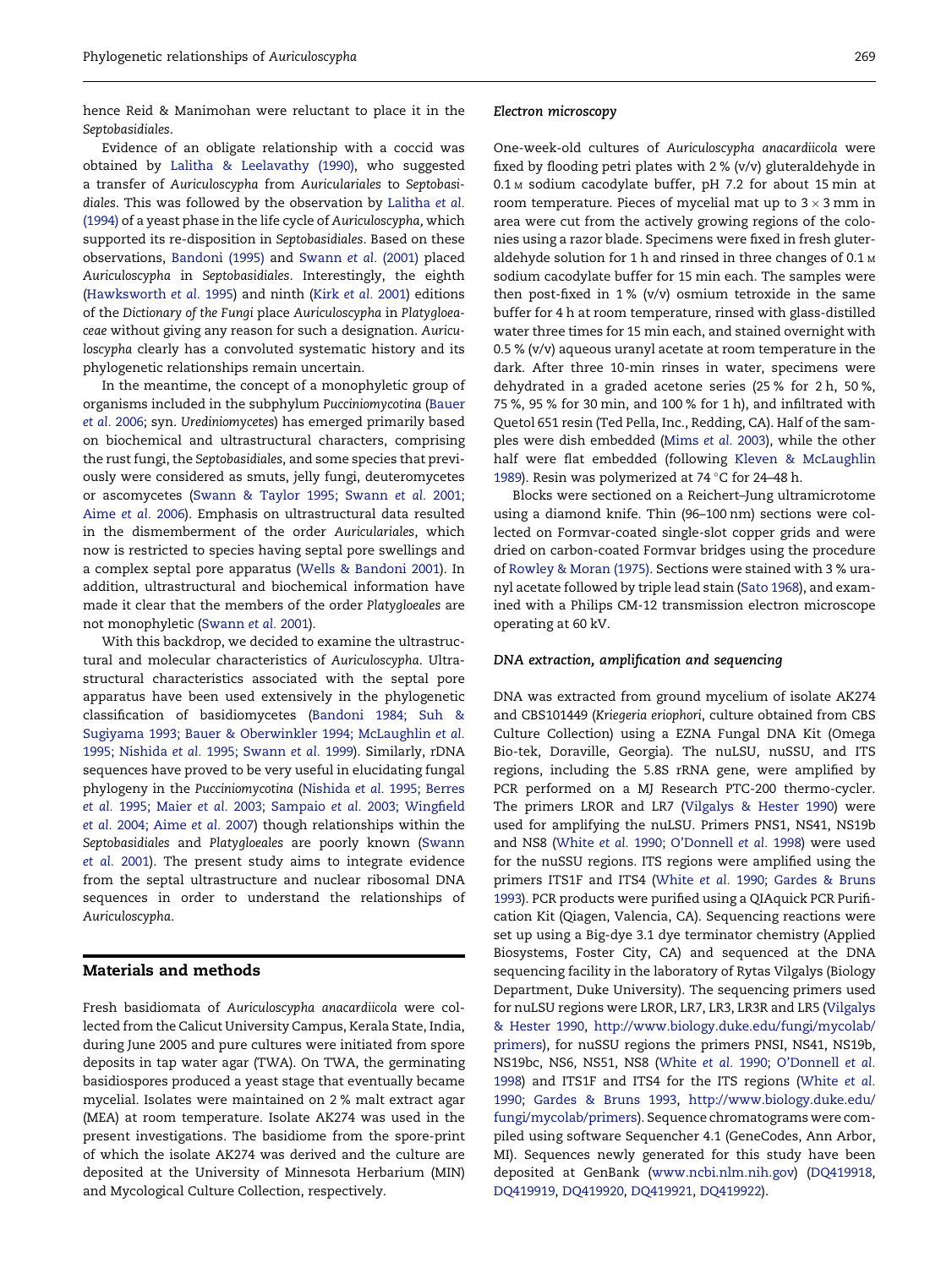hence Reid & Manimohan were reluctant to place it in the Septobasidiales.

Evidence of an obligate relationship with a coccid was obtained by Lalitha & [Leelavathy](#page-6-0) (1990), who suggested a transfer of Auriculoscypha from Auriculariales to Septobasidiales. This was followed by the observation by [Lalitha](#page-6-0) et al. [\(1994\)](#page-6-0) of a yeast phase in the life cycle of Auriculoscypha, which supported its re-disposition in Septobasidiales. Based on these observations, [Bandoni](#page-6-0) (1995) and [Swann](#page-6-0) et al. (2001) placed Auriculoscypha in Septobasidiales. Interestingly, the eighth [\(Hawksworth](#page-6-0) et al. 1995) and ninth (Kirk et al. [2001](#page-6-0)) editions of the Dictionary of the Fungi place Auriculoscypha in Platygloeaceae without giving any reason for such a designation. Auriculoscypha clearly has a convoluted systematic history and its phylogenetic relationships remain uncertain.

In the meantime, the concept of a monophyletic group of organisms included in the subphylum Pucciniomycotina ([Bauer](#page-6-0) et al. [2006;](#page-6-0) syn. Urediniomycetes) has emerged primarily based on biochemical and ultrastructural characters, comprising the rust fungi, the Septobasidiales, and some species that previously were considered as smuts, jelly fungi, deuteromycetes or ascomycetes (Swann & Taylor 1995; [Swann](#page-6-0) et al. 2001; [Aime](#page-6-0) et al. 2006). Emphasis on ultrastructural data resulted in the dismemberment of the order Auriculariales, which now is restricted to species having septal pore swellings and a complex septal pore apparatus (Wells & [Bandoni](#page-6-0) 2001). In addition, ultrastructural and biochemical information have made it clear that the members of the order Platygloeales are not monophyletic [\(Swann](#page-6-0) et al. 2001).

With this backdrop, we decided to examine the ultrastructural and molecular characteristics of Auriculoscypha. Ultrastructural characteristics associated with the septal pore apparatus have been used extensively in the phylogenetic classification of basidiomycetes [\(Bandoni](#page-6-0) 1984; Suh & Sugiyama 1993; Bauer & [Oberwinkler](#page-6-0) 1994; McLaughlin et al. 1995; [Nishida](#page-6-0) et al. 1995; Swann et al. 1999). Similarly, rDNA sequences have proved to be very useful in elucidating fungal phylogeny in the Pucciniomycotina [\(Nishida](#page-6-0) et al. 1995; Berres et al. 1995; Maier et al. 2003; Sampaio et al. 2003; [Wingfield](#page-6-0) et al. 2004; [Aime](#page-6-0) et al. 2007) though relationships within the Septobasidiales and Platygloeales are poorly known [\(Swann](#page-6-0) et al. [2001](#page-6-0)). The present study aims to integrate evidence from the septal ultrastructure and nuclear ribosomal DNA sequences in order to understand the relationships of Auriculoscypha.

#### Materials and methods

Fresh basidiomata of Auriculoscypha anacardiicola were collected from the Calicut University Campus, Kerala State, India, during June 2005 and pure cultures were initiated from spore deposits in tap water agar (TWA). On TWA, the germinating basidiospores produced a yeast stage that eventually became mycelial. Isolates were maintained on 2 % malt extract agar (MEA) at room temperature. Isolate AK274 was used in the present investigations. The basidiome from the spore-print of which the isolate AK274 was derived and the culture are deposited at the University of Minnesota Herbarium (MIN) and Mycological Culture Collection, respectively.

#### Electron microscopy

One-week-old cultures of Auriculoscypha anacardiicola were fixed by flooding petri plates with 2 % (v/v) gluteraldehyde in 0.1 <sup>M</sup> sodium cacodylate buffer, pH 7.2 for about 15 min at room temperature. Pieces of mycelial mat up to  $3 \times 3$  mm in area were cut from the actively growing regions of the colonies using a razor blade. Specimens were fixed in fresh gluteraldehyde solution for 1 h and rinsed in three changes of 0.1 M sodium cacodylate buffer for 15 min each. The samples were then post-fixed in 1 % (v/v) osmium tetroxide in the same buffer for 4 h at room temperature, rinsed with glass-distilled water three times for 15 min each, and stained overnight with 0.5 % (v/v) aqueous uranyl acetate at room temperature in the dark. After three 10-min rinses in water, specimens were dehydrated in a graded acetone series (25 % for 2 h, 50 %, 75 %, 95 % for 30 min, and 100 % for 1 h), and infiltrated with Quetol 651 resin (Ted Pella, Inc., Redding, CA). Half of the samples were dish embedded ([Mims](#page-6-0) et al. 2003), while the other half were flat embedded (following Kleven & [McLaughlin](#page-6-0) [1989](#page-6-0)). Resin was polymerized at 74 "C for 24–48 h.

Blocks were sectioned on a Reichert–Jung ultramicrotome using a diamond knife. Thin (96–100 nm) sections were collected on Formvar-coated single-slot copper grids and were dried on carbon-coated Formvar bridges using the procedure of [Rowley](#page-6-0) & Moran (1975). Sections were stained with 3 % uranyl acetate followed by triple lead stain (Sato [1968](#page-6-0)), and examined with a Philips CM-12 transmission electron microscope operating at 60 kV.

#### DNA extraction, amplification and sequencing

DNA was extracted from ground mycelium of isolate AK274 and CBS101449 (Kriegeria eriophori, culture obtained from CBS Culture Collection) using a EZNA Fungal DNA Kit (Omega Bio-tek, Doraville, Georgia). The nuLSU, nuSSU, and ITS regions, including the 5.8S rRNA gene, were amplified by PCR performed on a MJ Research PTC-200 thermo-cycler. The primers LROR and LR7 ([Vilgalys](#page-6-0) & Hester 1990) were used for amplifying the nuLSU. Primers PNS1, NS41, NS19b and NS8 (White et al. 1990; [O'Donnell](#page-6-0) et al. 1998) were used for the nuSSU regions. ITS regions were amplified using the primers ITS1F and ITS4 (White et al. 1990; [Gardes](#page-6-0) & Bruns [1993](#page-6-0)). PCR products were purified using a QIAquick PCR Purification Kit (Qiagen, Valencia, CA). Sequencing reactions were set up using a Big-dye 3.1 dye terminator chemistry (Applied Biosystems, Foster City, CA) and sequenced at the DNA sequencing facility in the laboratory of Rytas Vilgalys (Biology Department, Duke University). The sequencing primers used for nuLSU regions were LROR, LR7, LR3, LR3R and LR5 [\(Vilgalys](#page-6-0) & [Hester](#page-6-0) 1990, [http://www.biology.duke.edu/fungi/mycolab/](http://www.biology.duke.edu/fungi/mycolab/primers) [primers](http://www.biology.duke.edu/fungi/mycolab/primers)), for nuSSU regions the primers PNSI, NS41, NS19b, NS19bc, NS6, NS51, NS8 (White et al. 1990; [O'Donnell](#page-6-0) et al. [1998](#page-6-0)) and ITS1F and ITS4 for the ITS regions ([White](#page-6-0) et al. 1990; [Gardes](#page-6-0) & Bruns 1993, [http://www.biology.duke.edu/](http://www.biology.duke.edu/fungi/mycolab/primers) [fungi/mycolab/primers\)](http://www.biology.duke.edu/fungi/mycolab/primers). Sequence chromatograms were compiled using software Sequencher 4.1 (GeneCodes, Ann Arbor, MI). Sequences newly generated for this study have been deposited at GenBank [\(www.ncbi.nlm.nih.gov\)](http://www.ncbi.nlm.nih.gov) [\(DQ419918,](http://www.ncbi.nlm.nih.gov) [DQ419919](http://www.ncbi.nlm.nih.gov), [DQ419920](http://www.ncbi.nlm.nih.gov), [DQ419921](http://www.ncbi.nlm.nih.gov), [DQ419922](http://www.ncbi.nlm.nih.gov)).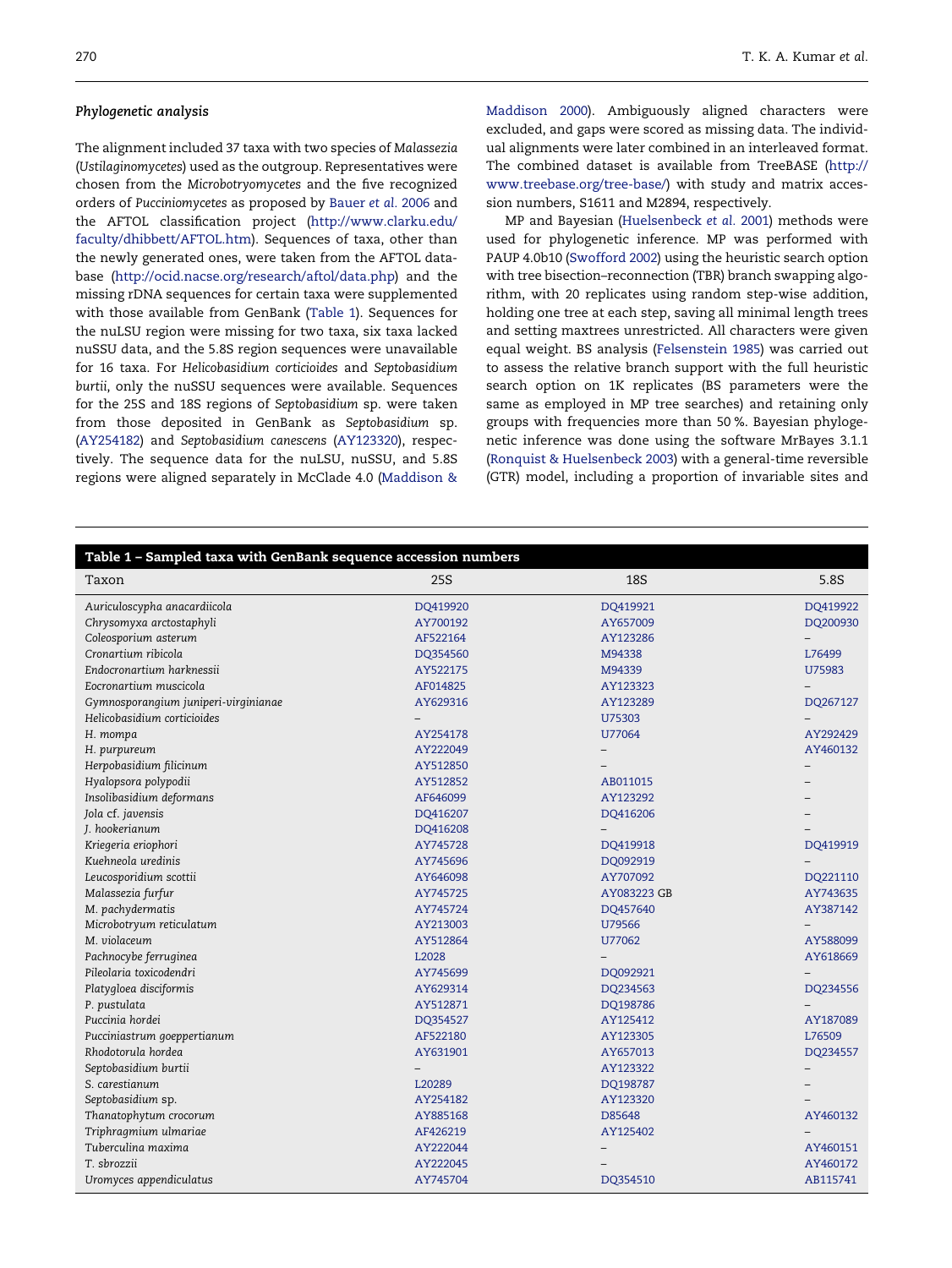#### Phylogenetic analysis

The alignment included 37 taxa with two species of Malassezia (Ustilaginomycetes) used as the outgroup. Representatives were chosen from the Microbotryomycetes and the five recognized orders of Pucciniomycetes as proposed by [Bauer](#page-6-0) et al. 2006 and the AFTOL classification project ([http://www.clarku.edu/](http://www.clarku.edu/faculty/dhibbett/AFTOL.htm) [faculty/dhibbett/AFTOL.htm](http://www.clarku.edu/faculty/dhibbett/AFTOL.htm)). Sequences of taxa, other than the newly generated ones, were taken from the AFTOL database (<http://ocid.nacse.org/research/aftol/data.php>) and the missing rDNA sequences for certain taxa were supplemented with those available from GenBank (Table 1). Sequences for the nuLSU region were missing for two taxa, six taxa lacked nuSSU data, and the 5.8S region sequences were unavailable for 16 taxa. For Helicobasidium corticioides and Septobasidium burtii, only the nuSSU sequences were available. Sequences for the 25S and 18S regions of Septobasidium sp. were taken from those deposited in GenBank as Septobasidium sp. ([AY254182\)](http://www.ncbi.nlm.nih.gov) and Septobasidium canescens [\(AY123320\)](http://www.ncbi.nlm.nih.gov), respectively. The sequence data for the nuLSU, nuSSU, and 5.8S regions were aligned separately in McClade 4.0 ([Maddison](#page-6-0) &

[Maddison](#page-6-0) 2000). Ambiguously aligned characters were excluded, and gaps were scored as missing data. The individual alignments were later combined in an interleaved format. The combined dataset is available from TreeBASE ([http://](http://www.treebase.org/tree-base/) [www.treebase.org/tree-base/](http://www.treebase.org/tree-base/)) with study and matrix accession numbers, S1611 and M2894, respectively.

MP and Bayesian [\(Huelsenbeck](#page-6-0) et al. 2001) methods were used for phylogenetic inference. MP was performed with PAUP 4.0b10 [\(Swofford](#page-6-0) 2002) using the heuristic search option with tree bisection–reconnection (TBR) branch swapping algorithm, with 20 replicates using random step-wise addition, holding one tree at each step, saving all minimal length trees and setting maxtrees unrestricted. All characters were given equal weight. BS analysis [\(Felsenstein](#page-6-0) 1985) was carried out to assess the relative branch support with the full heuristic search option on 1K replicates (BS parameters were the same as employed in MP tree searches) and retaining only groups with frequencies more than 50 %. Bayesian phylogenetic inference was done using the software MrBayes 3.1.1 (Ronquist & [Huelsenbeck](#page-6-0) 2003) with a general-time reversible (GTR) model, including a proportion of invariable sites and

| Table 1 - Sampled taxa with GenBank sequence accession numbers |          |             |          |
|----------------------------------------------------------------|----------|-------------|----------|
| Taxon                                                          | 25S      | <b>18S</b>  | 5.8S     |
| Auriculoscypha anacardiicola                                   | DQ419920 | DQ419921    | DQ419922 |
| Chrysomyxa arctostaphyli                                       | AY700192 | AY657009    | DQ200930 |
| Coleosporium asterum                                           | AF522164 | AY123286    |          |
| Cronartium ribicola                                            | DQ354560 | M94338      | L76499   |
| Endocronartium harknessii                                      | AY522175 | M94339      | U75983   |
| Eocronartium muscicola                                         | AF014825 | AY123323    |          |
| Gymnosporangium juniperi-virginianae                           | AY629316 | AY123289    | DQ267127 |
| Helicobasidium corticioides                                    |          | U75303      |          |
| H. mompa                                                       | AY254178 | U77064      | AY292429 |
| H. purpureum                                                   | AY222049 |             | AY460132 |
| Herpobasidium filicinum                                        | AY512850 |             |          |
| Hyalopsora polypodii                                           | AY512852 | AB011015    |          |
| Insolibasidium deformans                                       | AF646099 | AY123292    |          |
| Jola cf. javensis                                              | DQ416207 | DQ416206    |          |
| J. hookerianum                                                 | DQ416208 |             |          |
| Kriegeria eriophori                                            | AY745728 | DQ419918    | DQ419919 |
| Kuehneola uredinis                                             | AY745696 | DQ092919    |          |
| Leucosporidium scottii                                         | AY646098 | AY707092    | DQ221110 |
| Malassezia furfur                                              | AY745725 | AY083223 GB | AY743635 |
| M. pachydermatis                                               | AY745724 | DQ457640    | AY387142 |
| Microbotryum reticulatum                                       | AY213003 | U79566      |          |
| M. violaceum                                                   | AY512864 | U77062      | AY588099 |
| Pachnocybe ferruginea                                          | L2028    |             | AY618669 |
| Pileolaria toxicodendri                                        | AY745699 | DQ092921    |          |
| Platygloea disciformis                                         | AY629314 | DQ234563    | DQ234556 |
| P. pustulata                                                   | AY512871 | DQ198786    |          |
| Puccinia hordei                                                | DQ354527 | AY125412    | AY187089 |
| Pucciniastrum goeppertianum                                    | AF522180 | AY123305    | L76509   |
| Rhodotorula hordea                                             | AY631901 | AY657013    | DQ234557 |
| Septobasidium burtii                                           |          | AY123322    |          |
| S. carestianum                                                 | L20289   | DQ198787    |          |
| Septobasidium sp.                                              | AY254182 | AY123320    |          |
| Thanatophytum crocorum                                         | AY885168 | D85648      | AY460132 |
| Triphragmium ulmariae                                          | AF426219 | AY125402    |          |
| Tuberculina maxima                                             | AY222044 |             | AY460151 |
| T. sbrozzii                                                    | AY222045 |             | AY460172 |
| Uromyces appendiculatus                                        | AY745704 | DQ354510    | AB115741 |
|                                                                |          |             |          |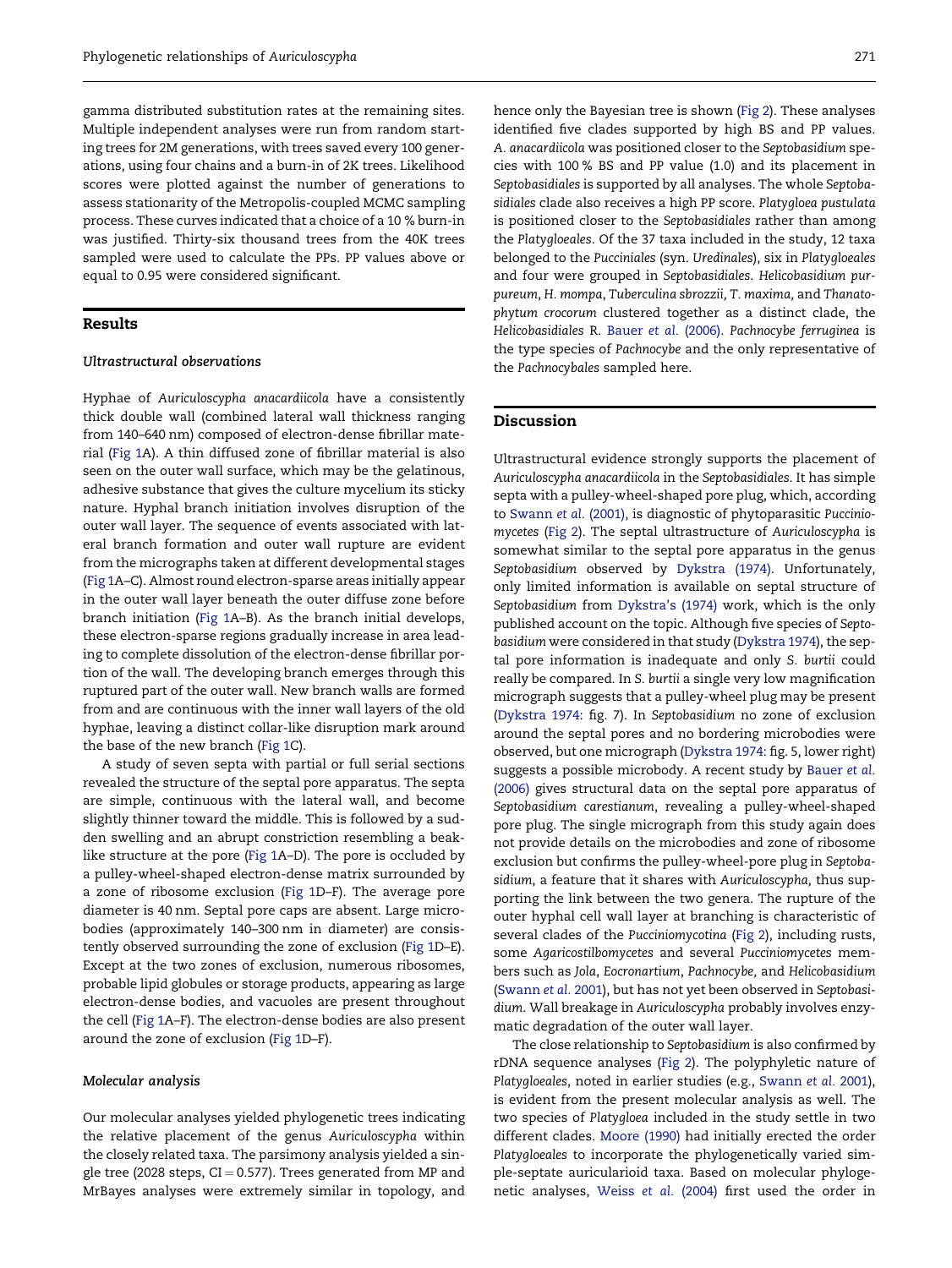gamma distributed substitution rates at the remaining sites. Multiple independent analyses were run from random starting trees for 2M generations, with trees saved every 100 generations, using four chains and a burn-in of 2K trees. Likelihood scores were plotted against the number of generations to assess stationarity of the Metropolis-coupled MCMC sampling process. These curves indicated that a choice of a 10 % burn-in was justified. Thirty-six thousand trees from the 40K trees sampled were used to calculate the PPs. PP values above or equal to 0.95 were considered significant.

## Results

#### Ultrastructural observations

Hyphae of Auriculoscypha anacardiicola have a consistently thick double wall (combined lateral wall thickness ranging from 140–640 nm) composed of electron-dense fibrillar material [\(Fig](#page-4-0) 1A). A thin diffused zone of fibrillar material is also seen on the outer wall surface, which may be the gelatinous, adhesive substance that gives the culture mycelium its sticky nature. Hyphal branch initiation involves disruption of the outer wall layer. The sequence of events associated with lateral branch formation and outer wall rupture are evident from the micrographs taken at different developmental stages [\(Fig](#page-4-0) 1A–C). Almost round electron-sparse areas initially appear in the outer wall layer beneath the outer diffuse zone before branch initiation ([Fig](#page-4-0) 1A–B). As the branch initial develops, these electron-sparse regions gradually increase in area leading to complete dissolution of the electron-dense fibrillar portion of the wall. The developing branch emerges through this ruptured part of the outer wall. New branch walls are formed from and are continuous with the inner wall layers of the old hyphae, leaving a distinct collar-like disruption mark around the base of the new branch ([Fig](#page-4-0) 1C).

A study of seven septa with partial or full serial sections revealed the structure of the septal pore apparatus. The septa are simple, continuous with the lateral wall, and become slightly thinner toward the middle. This is followed by a sudden swelling and an abrupt constriction resembling a beaklike structure at the pore [\(Fig](#page-4-0) 1A–D). The pore is occluded by a pulley-wheel-shaped electron-dense matrix surrounded by a zone of ribosome exclusion [\(Fig](#page-4-0) 1D–F). The average pore diameter is 40 nm. Septal pore caps are absent. Large microbodies (approximately 140–300 nm in diameter) are consistently observed surrounding the zone of exclusion ([Fig](#page-4-0) 1D–E). Except at the two zones of exclusion, numerous ribosomes, probable lipid globules or storage products, appearing as large electron-dense bodies, and vacuoles are present throughout the cell [\(Fig](#page-4-0) 1A–F). The electron-dense bodies are also present around the zone of exclusion ([Fig](#page-4-0) 1D–F).

#### Molecular analysis

Our molecular analyses yielded phylogenetic trees indicating the relative placement of the genus Auriculoscypha within the closely related taxa. The parsimony analysis yielded a single tree (2028 steps,  $CI = 0.577$ ). Trees generated from MP and MrBayes analyses were extremely similar in topology, and hence only the Bayesian tree is shown ([Fig](#page-5-0) 2). These analyses identified five clades supported by high BS and PP values. A. anacardiicola was positioned closer to the Septobasidium species with 100 % BS and PP value (1.0) and its placement in Septobasidiales is supported by all analyses. The whole Septobasidiales clade also receives a high PP score. Platygloea pustulata is positioned closer to the Septobasidiales rather than among the Platygloeales. Of the 37 taxa included in the study, 12 taxa belonged to the Pucciniales (syn. Uredinales), six in Platygloeales and four were grouped in Septobasidiales. Helicobasidium purpureum, H. mompa, Tuberculina sbrozzii, T. maxima, and Thanatophytum crocorum clustered together as a distinct clade, the Helicobasidiales R. Bauer et al. [\(2006\).](#page-6-0) Pachnocybe ferruginea is the type species of Pachnocybe and the only representative of the Pachnocybales sampled here.

#### Discussion

Ultrastructural evidence strongly supports the placement of Auriculoscypha anacardiicola in the Septobasidiales. It has simple septa with a pulley-wheel-shaped pore plug, which, according to [Swann](#page-6-0) et al. (2001), is diagnostic of phytoparasitic Pucciniomycetes [\(Fig](#page-5-0) 2). The septal ultrastructure of Auriculoscypha is somewhat similar to the septal pore apparatus in the genus Septobasidium observed by [Dykstra](#page-6-0) (1974). Unfortunately, only limited information is available on septal structure of Septobasidium from [Dykstra's](#page-6-0) (1974) work, which is the only published account on the topic. Although five species of Septobasidium were considered in that study [\(Dykstra](#page-6-0) 1974), the septal pore information is inadequate and only S. burtii could really be compared. In S. burtii a single very low magnification micrograph suggests that a pulley-wheel plug may be present [\(Dykstra](#page-6-0) 1974: fig. 7). In Septobasidium no zone of exclusion around the septal pores and no bordering microbodies were observed, but one micrograph [\(Dykstra](#page-6-0) 1974: fig. 5, lower right) suggests a possible microbody. A recent study by [Bauer](#page-6-0) et al. [\(2006\)](#page-6-0) gives structural data on the septal pore apparatus of Septobasidium carestianum, revealing a pulley-wheel-shaped pore plug. The single micrograph from this study again does not provide details on the microbodies and zone of ribosome exclusion but confirms the pulley-wheel-pore plug in Septobasidium, a feature that it shares with Auriculoscypha, thus supporting the link between the two genera. The rupture of the outer hyphal cell wall layer at branching is characteristic of several clades of the Pucciniomycotina [\(Fig](#page-5-0) 2), including rusts, some Agaricostilbomycetes and several Pucciniomycetes members such as Jola, Eocronartium, Pachnocybe, and Helicobasidium [\(Swann](#page-6-0) et al. 2001), but has not yet been observed in Septobasidium. Wall breakage in Auriculoscypha probably involves enzymatic degradation of the outer wall layer.

The close relationship to Septobasidium is also confirmed by rDNA sequence analyses ([Fig](#page-5-0) 2). The polyphyletic nature of Platygloeales, noted in earlier studies (e.g., [Swann](#page-6-0) et al. 2001), is evident from the present molecular analysis as well. The two species of Platygloea included in the study settle in two different clades. [Moore](#page-6-0) (1990) had initially erected the order Platygloeales to incorporate the phylogenetically varied simple-septate auricularioid taxa. Based on molecular phylogenetic analyses, [Weiss](#page-6-0) et al. (2004) first used the order in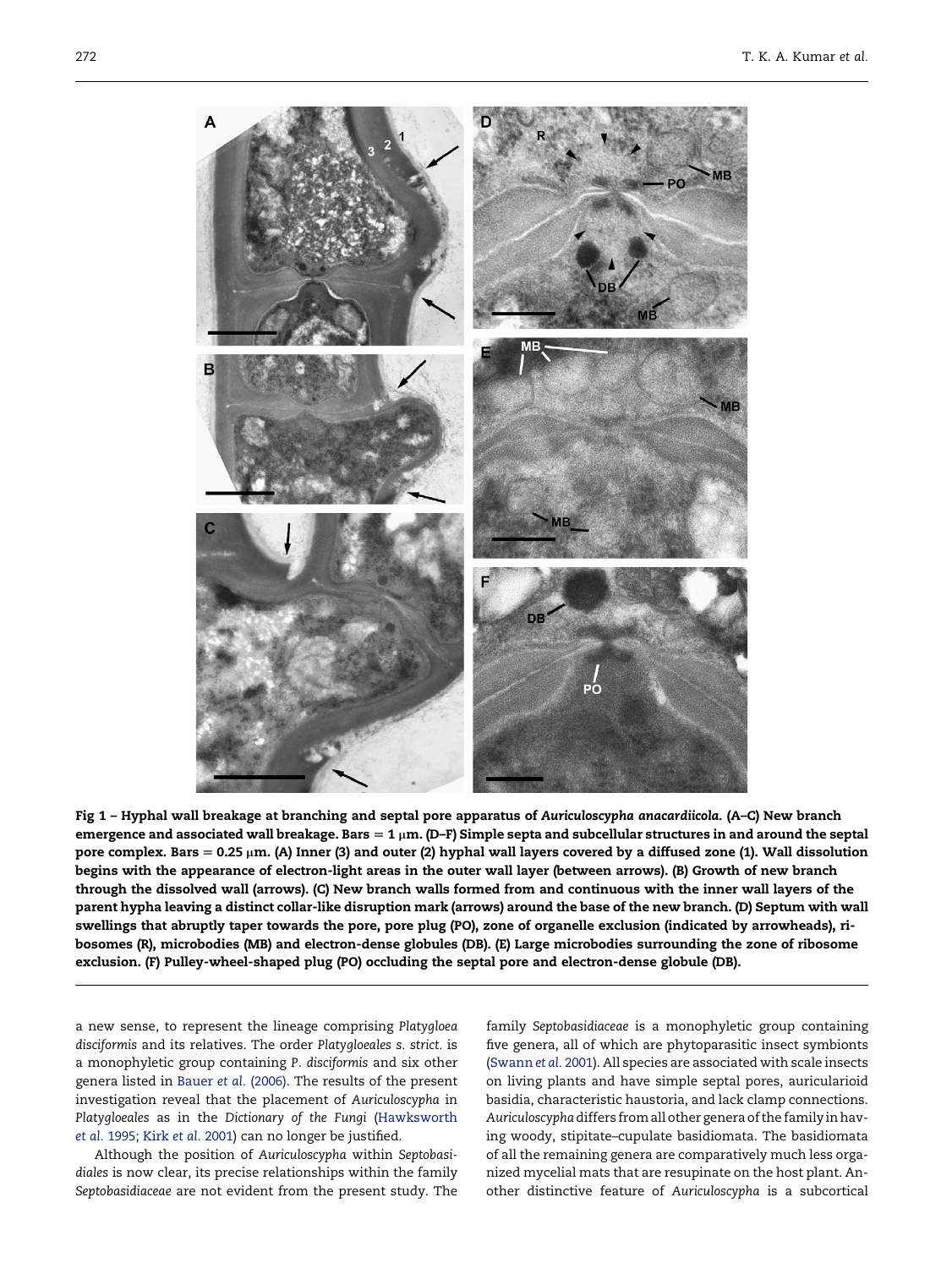<span id="page-4-0"></span>

Fig 1 – Hyphal wall breakage at branching and septal pore apparatus of Auriculoscypha anacardiicola. (A–C) New branch emergence and associated wall breakage. Bars = 1  $\mu$ m. (D–F) Simple septa and subcellular structures in and around the septal pore complex. Bars  $= 0.25 \mu m$ . (A) Inner (3) and outer (2) hyphal wall layers covered by a diffused zone (1). Wall dissolution begins with the appearance of electron-light areas in the outer wall layer (between arrows). (B) Growth of new branch through the dissolved wall (arrows). (C) New branch walls formed from and continuous with the inner wall layers of the parent hypha leaving a distinct collar-like disruption mark (arrows) around the base of the new branch. (D) Septum with wall swellings that abruptly taper towards the pore, pore plug (PO), zone of organelle exclusion (indicated by arrowheads), ribosomes (R), microbodies (MB) and electron-dense globules (DB). (E) Large microbodies surrounding the zone of ribosome exclusion. (F) Pulley-wheel-shaped plug (PO) occluding the septal pore and electron-dense globule (DB).

a new sense, to represent the lineage comprising Platygloea disciformis and its relatives. The order Platygloeales s. strict. is a monophyletic group containing P. disciformis and six other genera listed in [Bauer](#page-6-0) et al. (2006). The results of the present investigation reveal that the placement of Auriculoscypha in Platygloeales as in the Dictionary of the Fungi ([Hawksworth](#page-6-0) et al. [1995;](#page-6-0) Kirk et al. 2001) can no longer be justified.

Although the position of Auriculoscypha within Septobasidiales is now clear, its precise relationships within the family Septobasidiaceae are not evident from the present study. The family Septobasidiaceae is a monophyletic group containing five genera, all of which are phytoparasitic insect symbionts ([Swann](#page-6-0) et al. 2001). All species are associated with scale insects on living plants and have simple septal pores, auricularioid basidia, characteristic haustoria, and lack clamp connections. Auriculoscyphadiffers fromall other generaofthe family inhaving woody, stipitate–cupulate basidiomata. The basidiomata of all the remaining genera are comparatively much less organized mycelial mats that are resupinate on the host plant. Another distinctive feature of Auriculoscypha is a subcortical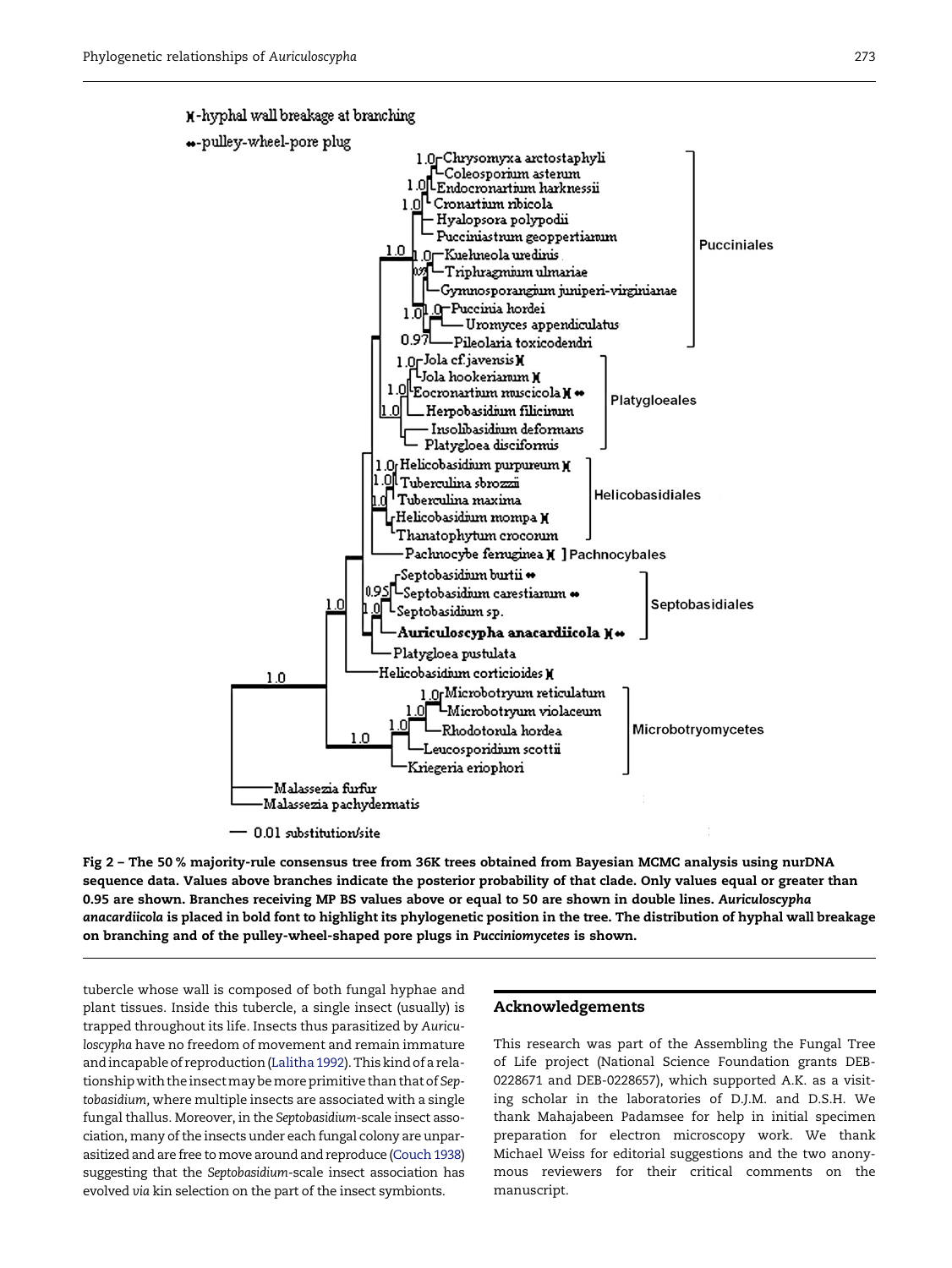<span id="page-5-0"></span>K-hyphal wall breakage at branching



Fig 2 – The 50 % majority-rule consensus tree from 36K trees obtained from Bayesian MCMC analysis using nurDNA sequence data. Values above branches indicate the posterior probability of that clade. Only values equal or greater than 0.95 are shown. Branches receiving MP BS values above or equal to 50 are shown in double lines. Auriculoscypha anacardiicola is placed in bold font to highlight its phylogenetic position in the tree. The distribution of hyphal wall breakage on branching and of the pulley-wheel-shaped pore plugs in Pucciniomycetes is shown.

tubercle whose wall is composed of both fungal hyphae and plant tissues. Inside this tubercle, a single insect (usually) is trapped throughout its life. Insects thus parasitized by Auriculoscypha have no freedom of movement and remain immature andincapableof reproduction([Lalitha1992](#page-6-0)).Thiskindof a relationship with the insect may be more primitive than that of Septobasidium, where multiple insects are associated with a single fungal thallus. Moreover, in the Septobasidium-scale insect association, many of the insects under each fungal colony are unparasitized and are free to move around and reproduce (Couch 1938) suggesting that the Septobasidium-scale insect association has evolved via kin selection on the part of the insect symbionts.

#### Acknowledgements

This research was part of the Assembling the Fungal Tree of Life project (National Science Foundation grants DEB-0228671 and DEB-0228657), which supported A.K. as a visiting scholar in the laboratories of D.J.M. and D.S.H. We thank Mahajabeen Padamsee for help in initial specimen preparation for electron microscopy work. We thank Michael Weiss for editorial suggestions and the two anonymous reviewers for their critical comments on the manuscript.